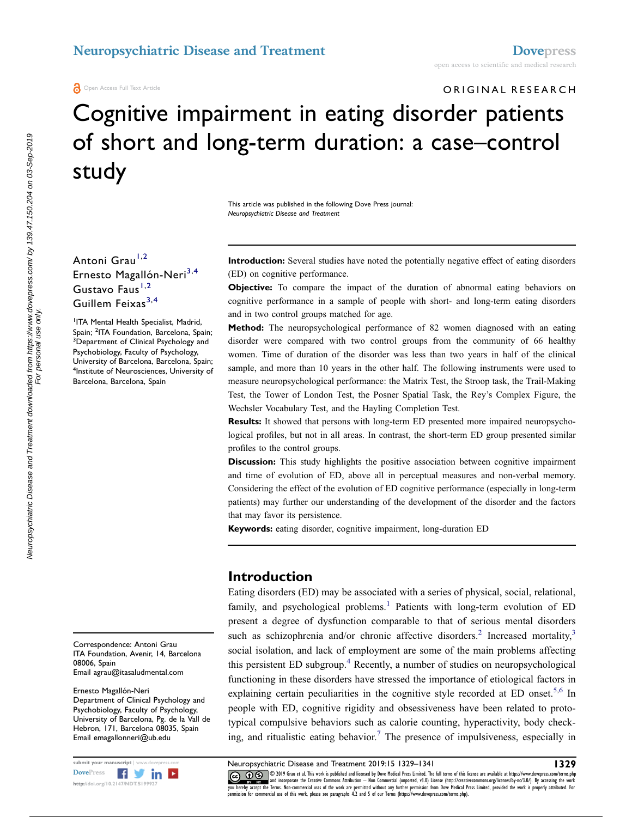# ORIGINAL RESEARCH Cognitive impairment in eating disorder patients of short and long-term duration: a case–control study

This article was published in the following Dove Press journal: Neuropsychiatric Disease and Treatment

Antoni Grau<sup>[1](#page-0-0),[2](#page-0-1)</sup> Ernesto Magallón-Neri<sup>[3,](#page-0-2)[4](#page-0-3)</sup> Gustavo Faus<sup>[1,](#page-0-0)[2](#page-0-1)</sup> Guillem Feixas<sup>[3](#page-0-2),[4](#page-0-3)</sup>

<span id="page-0-3"></span><span id="page-0-2"></span><span id="page-0-1"></span><span id="page-0-0"></span><sup>1</sup>ITA Mental Health Specialist, Madrid, Spain; <sup>2</sup>ITA Foundation, Barcelona, Spain;<br><sup>3</sup>Department of Clinical Psychology and <sup>3</sup>Department of Clinical Psychology and Psychobiology, Faculty of Psychology, University of Barcelona, Barcelona, Spain; 4 Institute of Neurosciences, University of Barcelona, Barcelona, Spain

Correspondence: Antoni Grau ITA Foundation, Avenir, 14, Barcelona 08006, Spain Email agrau@itasaludmental.com

Ernesto Magallón-Neri Department of Clinical Psychology and Psychobiology, Faculty of Psychology, University of Barcelona, Pg. de la Vall de Hebron, 171, Barcelona 08035, Spain Email emagallonneri@ub.edu

http://doi.org/10.2147/NDT.S199927

Introduction: Several studies have noted the potentially negative effect of eating disorders (ED) on cognitive performance.

**Objective:** To compare the impact of the duration of abnormal eating behaviors on cognitive performance in a sample of people with short- and long-term eating disorders and in two control groups matched for age.

Method: The neuropsychological performance of 82 women diagnosed with an eating disorder were compared with two control groups from the community of 66 healthy women. Time of duration of the disorder was less than two years in half of the clinical sample, and more than 10 years in the other half. The following instruments were used to measure neuropsychological performance: the Matrix Test, the Stroop task, the Trail-Making Test, the Tower of London Test, the Posner Spatial Task, the Rey's Complex Figure, the Wechsler Vocabulary Test, and the Hayling Completion Test.

Results: It showed that persons with long-term ED presented more impaired neuropsychological profiles, but not in all areas. In contrast, the short-term ED group presented similar profiles to the control groups.

**Discussion:** This study highlights the positive association between cognitive impairment and time of evolution of ED, above all in perceptual measures and non-verbal memory. Considering the effect of the evolution of ED cognitive performance (especially in long-term patients) may further our understanding of the development of the disorder and the factors that may favor its persistence.

Keywords: eating disorder, cognitive impairment, long-duration ED

### Introduction

<span id="page-0-6"></span><span id="page-0-5"></span><span id="page-0-4"></span>Eating disorders (ED) may be associated with a series of physical, social, relational, family, and psychological problems.<sup>1</sup> Patients with long-term evolution of  $ED$ present a degree of dysfunction comparable to that of serious mental disorders such as schizophrenia and/or chronic affective disorders.<sup>2</sup> Increased mortality,<sup>3</sup> social isolation, and lack of employment are some of the main problems affecting this persistent ED subgroup.<sup>[4](#page-10-3)</sup> Recently, a number of studies on neuropsychological functioning in these disorders have stressed the importance of etiological factors in explaining certain peculiarities in the cognitive style recorded at ED onset.<sup>[5,](#page-11-0)[6](#page-11-1)</sup> In people with ED, cognitive rigidity and obsessiveness have been related to prototypical compulsive behaviors such as calorie counting, hyperactivity, body checking, and ritualistic eating behavior.<sup>7</sup> The presence of impulsiveness, especially in

<span id="page-0-8"></span><span id="page-0-7"></span>

Neuropsychiatric Disease and Treatment downloaded from https://www.dovepress.com/ by 139.47.150.204 on 03-Sep-2019<br>For personal use only. Neuropsychiatric Disease and Treatment downloaded from https://www.dovepress.com/ by 139.47.150.204 on 03-Sep-2019 For personal use only.

submit your manuscript | www.dovepress.com Neuropsychiatric Disease and Treatment 2019:15 1329–1341 1329 CC **D** S © 2019 Grau et al. This work is published and licensed by Dove Medical Press Limited. The full terms of this license are available at https://www.dovepress.com/terms.php www.particle.com and incorporate the Creative Commons Attribution — Non Commercial (unported, v3.0) License (http://creativecommons.org/licenses/by-nc/3.0/). By accessing the work<br>you hereby accept the Terms. Non-commercia permission for commercial use of this work, please see paragraphs 4.2 and 5 of our Terms (https://www.dovepress.com/terms.php).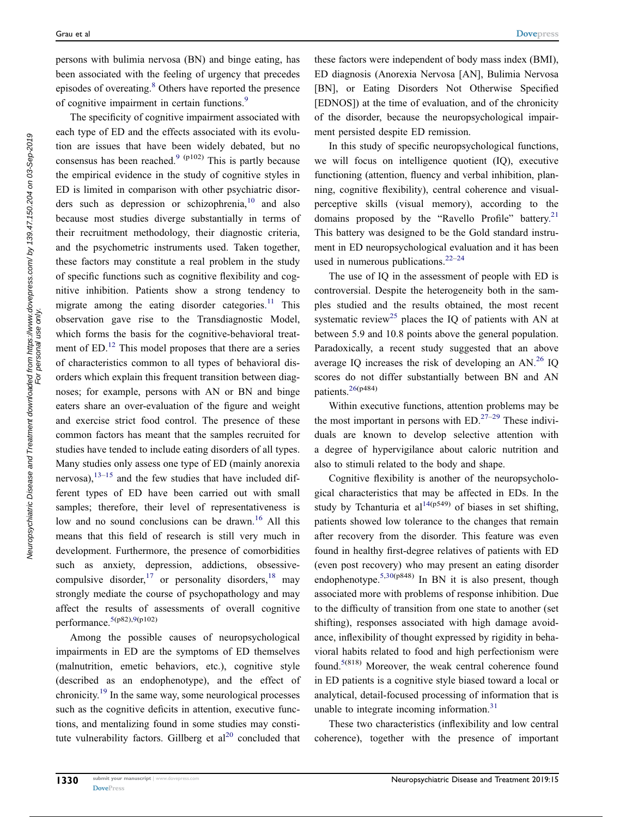<span id="page-1-0"></span>persons with bulimia nervosa (BN) and binge eating, has been associated with the feeling of urgency that precedes episodes of overeating.[8](#page-11-3) Others have reported the presence of cognitive impairment in certain functions.<sup>[9](#page-11-4)</sup>

<span id="page-1-4"></span><span id="page-1-3"></span><span id="page-1-2"></span>The specificity of cognitive impairment associated with each type of ED and the effects associated with its evolution are issues that have been widely debated, but no consensus has been reached.<sup>[9](#page-11-4) (p102)</sup> This is partly because the empirical evidence in the study of cognitive styles in ED is limited in comparison with other psychiatric disorders such as depression or schizophrenia, $^{10}$  $^{10}$  $^{10}$  and also because most studies diverge substantially in terms of their recruitment methodology, their diagnostic criteria, and the psychometric instruments used. Taken together, these factors may constitute a real problem in the study of specific functions such as cognitive flexibility and cognitive inhibition. Patients show a strong tendency to migrate among the eating disorder categories. [11](#page-11-6) This observation gave rise to the Transdiagnostic Model, which forms the basis for the cognitive-behavioral treat-ment of ED.<sup>[12](#page-11-7)</sup> This model proposes that there are a series of characteristics common to all types of behavioral disorders which explain this frequent transition between diagnoses; for example, persons with AN or BN and binge eaters share an over-evaluation of the figure and weight and exercise strict food control. The presence of these common factors has meant that the samples recruited for studies have tended to include eating disorders of all types. Many studies only assess one type of ED (mainly anorexia nervosa),  $13-15$  $13-15$  $13-15$  and the few studies that have included different types of ED have been carried out with small samples; therefore, their level of representativeness is low and no sound conclusions can be drawn.<sup>[16](#page-11-10)</sup> All this means that this field of research is still very much in development. Furthermore, the presence of comorbidities such as anxiety, depression, addictions, obsessive-compulsive disorder,<sup>17</sup> or personality disorders,<sup>[18](#page-11-12)</sup> may strongly mediate the course of psychopathology and may affect the results of assessments of overall cognitive performance.[5\(](#page-11-0)p82),[9\(](#page-11-4)p102)

<span id="page-1-10"></span><span id="page-1-9"></span><span id="page-1-8"></span><span id="page-1-7"></span><span id="page-1-5"></span><span id="page-1-1"></span>Among the possible causes of neuropsychological impairments in ED are the symptoms of ED themselves (malnutrition, emetic behaviors, etc.), cognitive style (described as an endophenotype), and the effect of chronicity.<sup>19</sup> In the same way, some neurological processes such as the cognitive deficits in attention, executive functions, and mentalizing found in some studies may constitute vulnerability factors. Gillberg et  $al^{20}$  $al^{20}$  $al^{20}$  concluded that

these factors were independent of body mass index (BMI), ED diagnosis (Anorexia Nervosa [AN], Bulimia Nervosa [BN], or Eating Disorders Not Otherwise Specified [EDNOS]) at the time of evaluation, and of the chronicity of the disorder, because the neuropsychological impairment persisted despite ED remission.

In this study of specific neuropsychological functions, we will focus on intelligence quotient (IQ), executive functioning (attention, fluency and verbal inhibition, planning, cognitive flexibility), central coherence and visualperceptive skills (visual memory), according to the domains proposed by the "Ravello Profile" battery.<sup>[21](#page-11-15)</sup> This battery was designed to be the Gold standard instrument in ED neuropsychological evaluation and it has been used in numerous publications. $22-24$  $22-24$  $22-24$ 

<span id="page-1-13"></span><span id="page-1-12"></span><span id="page-1-11"></span>The use of IQ in the assessment of people with ED is controversial. Despite the heterogeneity both in the samples studied and the results obtained, the most recent systematic review<sup>[25](#page-11-18)</sup> places the IQ of patients with AN at between 5.9 and 10.8 points above the general population. Paradoxically, a recent study suggested that an above average IQ increases the risk of developing an  $AN<sup>26</sup>$  $AN<sup>26</sup>$  $AN<sup>26</sup>$  IQ scores do not differ substantially between BN and AN patients.[26\(](#page-11-19)p484)

<span id="page-1-15"></span><span id="page-1-14"></span>Within executive functions, attention problems may be the most important in persons with  $ED.^{27-29}$  $ED.^{27-29}$  $ED.^{27-29}$  $ED.^{27-29}$  $ED.^{27-29}$  These individuals are known to develop selective attention with a degree of hypervigilance about caloric nutrition and also to stimuli related to the body and shape.

<span id="page-1-16"></span><span id="page-1-6"></span>Cognitive flexibility is another of the neuropsychological characteristics that may be affected in EDs. In the study by Tchanturia et al<sup>[14\(](#page-11-22)p549)</sup> of biases in set shifting, patients showed low tolerance to the changes that remain after recovery from the disorder. This feature was even found in healthy first-degree relatives of patients with ED (even post recovery) who may present an eating disorder endophenotype.<sup>5,[30](#page-11-23)(p848)</sup> In BN it is also present, though associated more with problems of response inhibition. Due to the difficulty of transition from one state to another (set shifting), responses associated with high damage avoidance, inflexibility of thought expressed by rigidity in behavioral habits related to food and high perfectionism were found.<sup>[5](#page-11-0)(818)</sup> Moreover, the weak central coherence found in ED patients is a cognitive style biased toward a local or analytical, detail-focused processing of information that is unable to integrate incoming information. $31$ 

<span id="page-1-17"></span>These two characteristics (inflexibility and low central coherence), together with the presence of important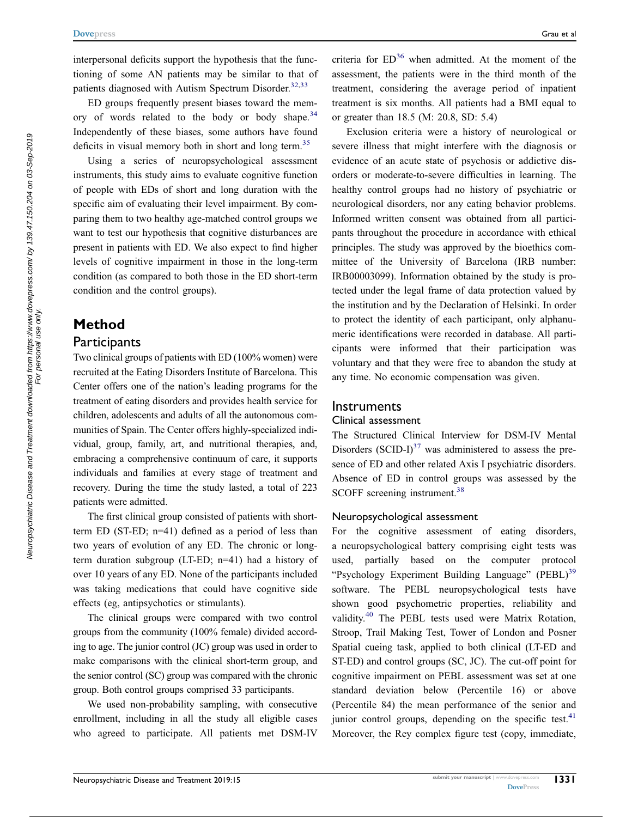interpersonal deficits support the hypothesis that the functioning of some AN patients may be similar to that of patients diagnosed with Autism Spectrum Disorder.<sup>[32](#page-11-25)[,33](#page-11-26)</sup>

<span id="page-2-1"></span><span id="page-2-0"></span>ED groups frequently present biases toward the memory of words related to the body or body shape. $34$ Independently of these biases, some authors have found deficits in visual memory both in short and long term.<sup>[35](#page-11-28)</sup>

<span id="page-2-2"></span>Using a series of neuropsychological assessment instruments, this study aims to evaluate cognitive function of people with EDs of short and long duration with the specific aim of evaluating their level impairment. By comparing them to two healthy age-matched control groups we want to test our hypothesis that cognitive disturbances are present in patients with ED. We also expect to find higher levels of cognitive impairment in those in the long-term condition (as compared to both those in the ED short-term condition and the control groups).

### Method

### **Participants**

Two clinical groups of patients with ED (100% women) were recruited at the Eating Disorders Institute of Barcelona. This Center offers one of the nation's leading programs for the treatment of eating disorders and provides health service for children, adolescents and adults of all the autonomous communities of Spain. The Center offers highly-specialized individual, group, family, art, and nutritional therapies, and, embracing a comprehensive continuum of care, it supports individuals and families at every stage of treatment and recovery. During the time the study lasted, a total of 223 patients were admitted.

The first clinical group consisted of patients with shortterm ED (ST-ED; n=41) defined as a period of less than two years of evolution of any ED. The chronic or longterm duration subgroup (LT-ED; n=41) had a history of over 10 years of any ED. None of the participants included was taking medications that could have cognitive side effects (eg, antipsychotics or stimulants).

The clinical groups were compared with two control groups from the community (100% female) divided according to age. The junior control (JC) group was used in order to make comparisons with the clinical short-term group, and the senior control (SC) group was compared with the chronic group. Both control groups comprised 33 participants.

We used non-probability sampling, with consecutive enrollment, including in all the study all eligible cases who agreed to participate. All patients met DSM-IV

<span id="page-2-3"></span>criteria for  $ED^{36}$  $ED^{36}$  $ED^{36}$  when admitted. At the moment of the assessment, the patients were in the third month of the treatment, considering the average period of inpatient treatment is six months. All patients had a BMI equal to or greater than 18.5 (M: 20.8, SD: 5.4)

Exclusion criteria were a history of neurological or severe illness that might interfere with the diagnosis or evidence of an acute state of psychosis or addictive disorders or moderate-to-severe difficulties in learning. The healthy control groups had no history of psychiatric or neurological disorders, nor any eating behavior problems. Informed written consent was obtained from all participants throughout the procedure in accordance with ethical principles. The study was approved by the bioethics committee of the University of Barcelona (IRB number: IRB00003099). Information obtained by the study is protected under the legal frame of data protection valued by the institution and by the Declaration of Helsinki. In order to protect the identity of each participant, only alphanumeric identifications were recorded in database. All participants were informed that their participation was voluntary and that they were free to abandon the study at any time. No economic compensation was given.

### **Instruments**

### Clinical assessment

<span id="page-2-4"></span>The Structured Clinical Interview for DSM-IV Mental Disorders (SCID-I) $37$  was administered to assess the presence of ED and other related Axis I psychiatric disorders. Absence of ED in control groups was assessed by the SCOFF screening instrument.<sup>[38](#page-11-31)</sup>

### <span id="page-2-5"></span>Neuropsychological assessment

<span id="page-2-8"></span><span id="page-2-7"></span><span id="page-2-6"></span>For the cognitive assessment of eating disorders, a neuropsychological battery comprising eight tests was used, partially based on the computer protocol "Psychology Experiment Building Language" (PEBL)<sup>[39](#page-11-32)</sup> software. The PEBL neuropsychological tests have shown good psychometric properties, reliability and validity.[40](#page-12-0) The PEBL tests used were Matrix Rotation, Stroop, Trail Making Test, Tower of London and Posner Spatial cueing task, applied to both clinical (LT-ED and ST-ED) and control groups (SC, JC). The cut-off point for cognitive impairment on PEBL assessment was set at one standard deviation below (Percentile 16) or above (Percentile 84) the mean performance of the senior and junior control groups, depending on the specific test. $41$ Moreover, the Rey complex figure test (copy, immediate,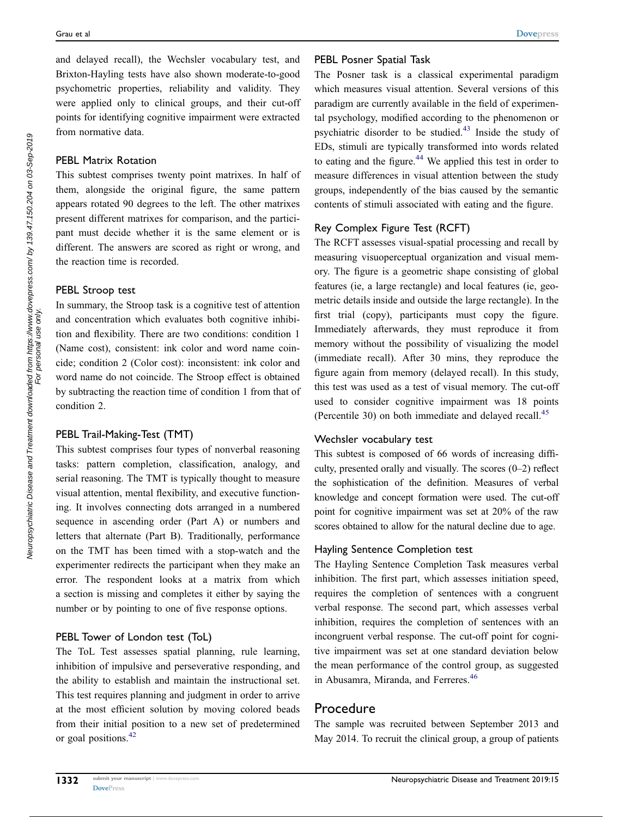and delayed recall), the Wechsler vocabulary test, and Brixton-Hayling tests have also shown moderate-to-good psychometric properties, reliability and validity. They were applied only to clinical groups, and their cut-off points for identifying cognitive impairment were extracted from normative data.

### PEBL Matrix Rotation

This subtest comprises twenty point matrixes. In half of them, alongside the original figure, the same pattern appears rotated 90 degrees to the left. The other matrixes present different matrixes for comparison, and the participant must decide whether it is the same element or is different. The answers are scored as right or wrong, and the reaction time is recorded.

### PEBL Stroop test

In summary, the Stroop task is a cognitive test of attention and concentration which evaluates both cognitive inhibition and flexibility. There are two conditions: condition 1 (Name cost), consistent: ink color and word name coincide; condition 2 (Color cost): inconsistent: ink color and word name do not coincide. The Stroop effect is obtained by subtracting the reaction time of condition 1 from that of condition 2.

### PEBL Trail-Making-Test (TMT)

This subtest comprises four types of nonverbal reasoning tasks: pattern completion, classification, analogy, and serial reasoning. The TMT is typically thought to measure visual attention, mental flexibility, and executive functioning. It involves connecting dots arranged in a numbered sequence in ascending order (Part A) or numbers and letters that alternate (Part B). Traditionally, performance on the TMT has been timed with a stop-watch and the experimenter redirects the participant when they make an error. The respondent looks at a matrix from which a section is missing and completes it either by saying the number or by pointing to one of five response options.

### PEBL Tower of London test (ToL)

<span id="page-3-0"></span>The ToL Test assesses spatial planning, rule learning, inhibition of impulsive and perseverative responding, and the ability to establish and maintain the instructional set. This test requires planning and judgment in order to arrive at the most efficient solution by moving colored beads from their initial position to a new set of predetermined or goal positions.[42](#page-12-2)

### PEBL Posner Spatial Task

<span id="page-3-1"></span>The Posner task is a classical experimental paradigm which measures visual attention. Several versions of this paradigm are currently available in the field of experimental psychology, modified according to the phenomenon or psychiatric disorder to be studied.<sup>[43](#page-12-3)</sup> Inside the study of EDs, stimuli are typically transformed into words related to eating and the figure.<sup>[44](#page-12-4)</sup> We applied this test in order to measure differences in visual attention between the study groups, independently of the bias caused by the semantic contents of stimuli associated with eating and the figure.

### <span id="page-3-2"></span>Rey Complex Figure Test (RCFT)

The RCFT assesses visual-spatial processing and recall by measuring visuoperceptual organization and visual memory. The figure is a geometric shape consisting of global features (ie, a large rectangle) and local features (ie, geometric details inside and outside the large rectangle). In the first trial (copy), participants must copy the figure. Immediately afterwards, they must reproduce it from memory without the possibility of visualizing the model (immediate recall). After 30 mins, they reproduce the figure again from memory (delayed recall). In this study, this test was used as a test of visual memory. The cut-off used to consider cognitive impairment was 18 points (Percentile 30) on both immediate and delayed recall.[45](#page-12-5)

### <span id="page-3-3"></span>Wechsler vocabulary test

This subtest is composed of 66 words of increasing difficulty, presented orally and visually. The scores (0–2) reflect the sophistication of the definition. Measures of verbal knowledge and concept formation were used. The cut-off point for cognitive impairment was set at 20% of the raw scores obtained to allow for the natural decline due to age.

### Hayling Sentence Completion test

The Hayling Sentence Completion Task measures verbal inhibition. The first part, which assesses initiation speed, requires the completion of sentences with a congruent verbal response. The second part, which assesses verbal inhibition, requires the completion of sentences with an incongruent verbal response. The cut-off point for cognitive impairment was set at one standard deviation below the mean performance of the control group, as suggested in Abusamra, Miranda, and Ferreres.<sup>[46](#page-12-6)</sup>

### <span id="page-3-4"></span>Procedure

The sample was recruited between September 2013 and May 2014. To recruit the clinical group, a group of patients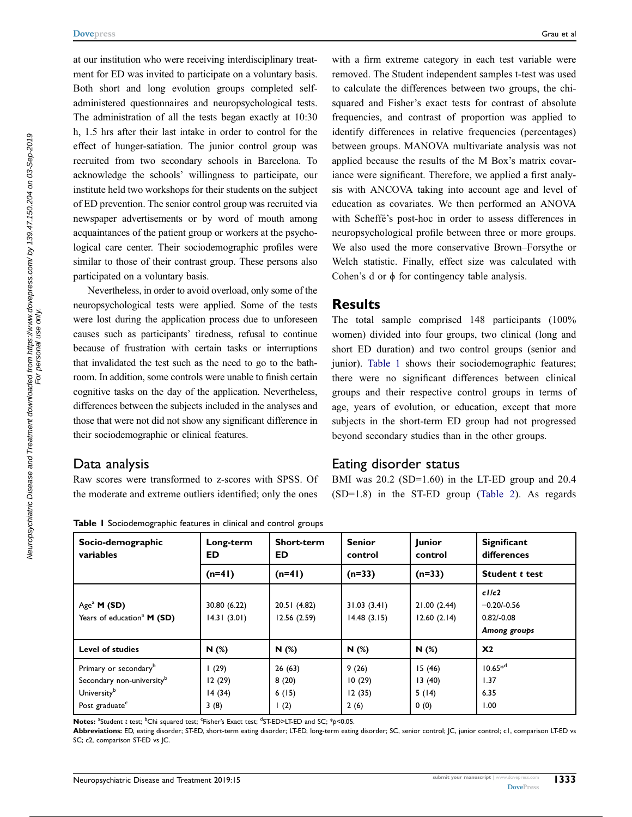at our institution who were receiving interdisciplinary treatment for ED was invited to participate on a voluntary basis. Both short and long evolution groups completed selfadministered questionnaires and neuropsychological tests. The administration of all the tests began exactly at 10:30 h, 1.5 hrs after their last intake in order to control for the effect of hunger-satiation. The junior control group was recruited from two secondary schools in Barcelona. To acknowledge the schools' willingness to participate, our institute held two workshops for their students on the subject of ED prevention. The senior control group was recruited via newspaper advertisements or by word of mouth among acquaintances of the patient group or workers at the psychological care center. Their sociodemographic profiles were similar to those of their contrast group. These persons also participated on a voluntary basis.

Nevertheless, in order to avoid overload, only some of the neuropsychological tests were applied. Some of the tests were lost during the application process due to unforeseen causes such as participants' tiredness, refusal to continue because of frustration with certain tasks or interruptions that invalidated the test such as the need to go to the bathroom. In addition, some controls were unable to finish certain cognitive tasks on the day of the application. Nevertheless, differences between the subjects included in the analyses and those that were not did not show any significant difference in their sociodemographic or clinical features.

### Data analysis

Raw scores were transformed to z-scores with SPSS. Of the moderate and extreme outliers identified; only the ones with a firm extreme category in each test variable were removed. The Student independent samples t-test was used to calculate the differences between two groups, the chisquared and Fisher's exact tests for contrast of absolute frequencies, and contrast of proportion was applied to identify differences in relative frequencies (percentages) between groups. MANOVA multivariate analysis was not applied because the results of the M Box's matrix covariance were significant. Therefore, we applied a first analysis with ANCOVA taking into account age and level of education as covariates. We then performed an ANOVA with Scheffé's post-hoc in order to assess differences in neuropsychological profile between three or more groups. We also used the more conservative Brown–Forsythe or Welch statistic. Finally, effect size was calculated with Cohen's  $d$  or  $\phi$  for contingency table analysis.

### **Results**

The total sample comprised 148 participants (100% women) divided into four groups, two clinical (long and short ED duration) and two control groups (senior and junior). [Table 1](#page-4-0) shows their sociodemographic features; there were no significant differences between clinical groups and their respective control groups in terms of age, years of evolution, or education, except that more subjects in the short-term ED group had not progressed beyond secondary studies than in the other groups.

### Eating disorder status

BMI was 20.2 (SD=1.60) in the LT-ED group and 20.4 (SD=1.8) in the ST-ED group ([Table 2](#page-5-0)). As regards

| Socio-demographic<br>variables                                                                                                      | Long-term<br>ED                   | <b>Short-term</b><br><b>ED</b>   | <b>Senior</b><br>control          | <b>Junior</b><br>control          | <b>Significant</b><br>differences                      |
|-------------------------------------------------------------------------------------------------------------------------------------|-----------------------------------|----------------------------------|-----------------------------------|-----------------------------------|--------------------------------------------------------|
|                                                                                                                                     | $(n=4)$                           | $(n=41)$                         | $(n=33)$                          | $(n=33)$                          | <b>Student t test</b>                                  |
| Age <sup>a</sup> M (SD)<br>Years of education <sup>a</sup> $M(SD)$                                                                  | 30.80 (6.22)<br>14.31(3.01)       | 20.51 (4.82)<br>12.56(2.59)      | 31.03(3.41)<br>14.48(3.15)        | 21.00(2.44)<br>12.60(2.14)        | c1/c2<br>$-0.20/-0.56$<br>$0.82/-0.08$<br>Among groups |
| <b>Level of studies</b>                                                                                                             | N(%)                              | N(%)                             | N(%)                              | N(%)                              | X <sub>2</sub>                                         |
| Primary or secondary <sup>b</sup><br>Secondary non-university <sup>b</sup><br>University <sup>b</sup><br>Post graduate <sup>c</sup> | (29)<br>12 (29)<br>14(34)<br>3(8) | 26(63)<br>8(20)<br>6(15)<br>1(2) | 9(26)<br>10(29)<br>12(35)<br>2(6) | 15(46)<br>13(40)<br>5(14)<br>0(0) | $10.65*^{d}$<br>1.37<br>6.35<br>00.1                   |

<span id="page-4-0"></span>Table 1 Sociodemographic features in clinical and control groups

Notes: <sup>a</sup>Student t test; <sup>b</sup>Chi squared test; <sup>c</sup>Fisher's Exact test; <sup>d</sup>ST-ED>LT-ED and SC; \*p<0.05.

Abbreviations: ED, eating disorder; ST-ED, short-term eating disorder; LT-ED, long-term eating disorder; SC, senior control; JC, junior control; c1, comparison LT-ED vs SC; c2, comparison ST-ED vs | C.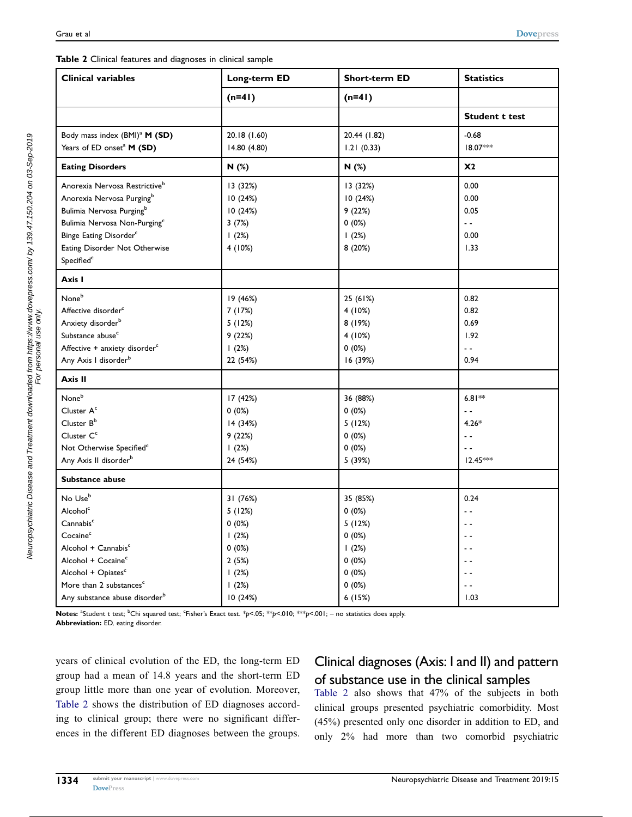<span id="page-5-0"></span>

| Table 2 Clinical features and diagnoses in clinical sample |  |  |  |  |  |
|------------------------------------------------------------|--|--|--|--|--|
|------------------------------------------------------------|--|--|--|--|--|

| <b>Clinical variables</b>                                                                                                                                                                                                                                               | Long-term ED                                                                   | Short-term ED                                                                           | <b>Statistics</b>                                                                                                |
|-------------------------------------------------------------------------------------------------------------------------------------------------------------------------------------------------------------------------------------------------------------------------|--------------------------------------------------------------------------------|-----------------------------------------------------------------------------------------|------------------------------------------------------------------------------------------------------------------|
|                                                                                                                                                                                                                                                                         | $(n=41)$                                                                       | $(n=41)$                                                                                |                                                                                                                  |
|                                                                                                                                                                                                                                                                         |                                                                                |                                                                                         | <b>Student t test</b>                                                                                            |
| Body mass index (BMI) <sup>a</sup> M (SD)<br>Years of ED onset <sup>a</sup> M (SD)                                                                                                                                                                                      | 20.18 (1.60)<br>14.80(4.80)                                                    | 20.44 (1.82)<br>1.21(0.33)                                                              | $-0.68$<br>18.07***                                                                                              |
| <b>Eating Disorders</b>                                                                                                                                                                                                                                                 | N(%)                                                                           | N(%)                                                                                    | X <sub>2</sub>                                                                                                   |
| Anorexia Nervosa Restrictive <sup>b</sup><br>Anorexia Nervosa Purging <sup>b</sup><br>Bulimia Nervosa Purging <sup>b</sup><br>Bulimia Nervosa Non-Purging <sup>c</sup><br>Binge Eating Disorder <sup>c</sup><br>Eating Disorder Not Otherwise<br>Specified <sup>c</sup> | 13(32%)<br>10(24%)<br>10(24%)<br>3(7%)<br>1(2%)<br>4(10%)                      | 13 (32%)<br>10(24%)<br>9(22%)<br>$0(0\%)$<br>1(2%)<br>8(20%)                            | 0.00<br>0.00<br>0.05<br>$\overline{a}$<br>0.00<br>1.33                                                           |
| Axis I                                                                                                                                                                                                                                                                  |                                                                                |                                                                                         |                                                                                                                  |
| None <sup>b</sup><br>Affective disorder <sup>c</sup><br>Anxiety disorder <sup>b</sup><br>Substance abuse <sup>c</sup><br>Affective + anxiety disorder <sup>c</sup><br>Any Axis I disorder <sup>b</sup>                                                                  | 19 (46%)<br>7 (17%)<br>5(12%)<br>9(22%)<br>1(2%)<br>22 (54%)                   | 25 (61%)<br>4 (10%)<br>8(19%)<br>4 (10%)<br>$0(0\%)$<br>16 (39%)                        | 0.82<br>0.82<br>0.69<br>1.92<br>$\sim$ $\sim$<br>0.94                                                            |
| Axis II                                                                                                                                                                                                                                                                 |                                                                                |                                                                                         |                                                                                                                  |
| None <sup>b</sup><br>Cluster A <sup>c</sup><br>Cluster B <sup>b</sup><br>Cluster C <sup>c</sup><br>Not Otherwise Specified <sup>c</sup><br>Any Axis II disorder <sup>b</sup>                                                                                            | 17 (42%)<br>$0(0\%)$<br>14(34%)<br>9(22%)<br>1(2%)<br>24 (54%)                 | 36 (88%)<br>$0(0\%)$<br>5 (12%)<br>$0(0\%)$<br>$0(0\%)$<br>5 (39%)                      | $6.81**$<br>$\sim$<br>$4.26*$<br>$ -$<br>$\sim$ $\sim$<br>$12.45***$                                             |
| Substance abuse                                                                                                                                                                                                                                                         |                                                                                |                                                                                         |                                                                                                                  |
| No Use <sup>b</sup><br>Alcohol <sup>c</sup><br>Cannabis <sup>c</sup><br>Cocaine <sup>c</sup><br>Alcohol + Cannabis $c$<br>Alcohol + Cocaine <sup>c</sup><br>Alcohol + Opiates <sup>c</sup><br>More than 2 substances <sup>c</sup>                                       | 31 (76%)<br>5(12%)<br>$0(0\%)$<br>1(2%)<br>$0(0\%)$<br>2(5%)<br>1(2%)<br>1(2%) | 35 (85%)<br>$0(0\%)$<br>5(12%)<br>$0(0\%)$<br>1(2%)<br>$0(0\%)$<br>$0(0\%)$<br>$0(0\%)$ | 0.24<br>$\sim$ $\sim$<br>$\sim$ $\sim$<br>٠.<br>$\sim$ $\sim$<br>$\sim$ $\sim$<br>$\sim$ $\sim$<br>$\sim$ $\sim$ |
| Any substance abuse disorder <sup>b</sup>                                                                                                                                                                                                                               | 10(24%)                                                                        | 6(15%)                                                                                  | 1.03                                                                                                             |

Notes: <sup>a</sup>Student t test; <sup>b</sup>Chi squared test; <sup>c</sup>Fisher's Exact test. \*p<.05; \*\*p<.010; \*\*\*p<.001; – no statistics does apply. Abbreviation: ED, eating disorder.

years of clinical evolution of the ED, the long-term ED group had a mean of 14.8 years and the short-term ED group little more than one year of evolution. Moreover, [Table 2](#page-5-0) shows the distribution of ED diagnoses according to clinical group; there were no significant differences in the different ED diagnoses between the groups.

## Clinical diagnoses (Axis: I and II) and pattern of substance use in the clinical samples

[Table 2](#page-5-0) also shows that 47% of the subjects in both clinical groups presented psychiatric comorbidity. Most (45%) presented only one disorder in addition to ED, and only 2% had more than two comorbid psychiatric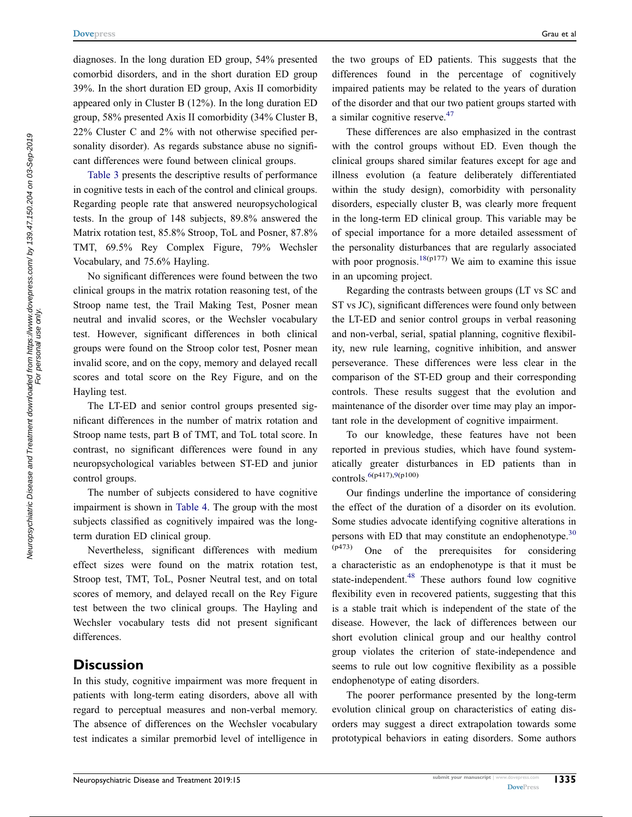diagnoses. In the long duration ED group, 54% presented comorbid disorders, and in the short duration ED group 39%. In the short duration ED group, Axis II comorbidity appeared only in Cluster B (12%). In the long duration ED group, 58% presented Axis II comorbidity (34% Cluster B, 22% Cluster C and 2% with not otherwise specified personality disorder). As regards substance abuse no significant differences were found between clinical groups.

[Table 3](#page-7-0) presents the descriptive results of performance in cognitive tests in each of the control and clinical groups. Regarding people rate that answered neuropsychological tests. In the group of 148 subjects, 89.8% answered the Matrix rotation test, 85.8% Stroop, ToL and Posner, 87.8% TMT, 69.5% Rey Complex Figure, 79% Wechsler Vocabulary, and 75.6% Hayling.

No significant differences were found between the two clinical groups in the matrix rotation reasoning test, of the Stroop name test, the Trail Making Test, Posner mean neutral and invalid scores, or the Wechsler vocabulary test. However, significant differences in both clinical groups were found on the Stroop color test, Posner mean invalid score, and on the copy, memory and delayed recall scores and total score on the Rey Figure, and on the Hayling test.

The LT-ED and senior control groups presented significant differences in the number of matrix rotation and Stroop name tests, part B of TMT, and ToL total score. In contrast, no significant differences were found in any neuropsychological variables between ST-ED and junior control groups.

The number of subjects considered to have cognitive impairment is shown in [Table 4.](#page-9-0) The group with the most subjects classified as cognitively impaired was the longterm duration ED clinical group.

Nevertheless, significant differences with medium effect sizes were found on the matrix rotation test, Stroop test, TMT, ToL, Posner Neutral test, and on total scores of memory, and delayed recall on the Rey Figure test between the two clinical groups. The Hayling and Wechsler vocabulary tests did not present significant differences.

### **Discussion**

In this study, cognitive impairment was more frequent in patients with long-term eating disorders, above all with regard to perceptual measures and non-verbal memory. The absence of differences on the Wechsler vocabulary test indicates a similar premorbid level of intelligence in the two groups of ED patients. This suggests that the differences found in the percentage of cognitively impaired patients may be related to the years of duration of the disorder and that our two patient groups started with a similar cognitive reserve.<sup>[47](#page-12-7)</sup>

<span id="page-6-0"></span>These differences are also emphasized in the contrast with the control groups without ED. Even though the clinical groups shared similar features except for age and illness evolution (a feature deliberately differentiated within the study design), comorbidity with personality disorders, especially cluster B, was clearly more frequent in the long-term ED clinical group. This variable may be of special importance for a more detailed assessment of the personality disturbances that are regularly associated with poor prognosis.<sup>[18\(](#page-11-12)p177)</sup> We aim to examine this issue in an upcoming project.

Regarding the contrasts between groups (LT vs SC and ST vs JC), significant differences were found only between the LT-ED and senior control groups in verbal reasoning and non-verbal, serial, spatial planning, cognitive flexibility, new rule learning, cognitive inhibition, and answer perseverance. These differences were less clear in the comparison of the ST-ED group and their corresponding controls. These results suggest that the evolution and maintenance of the disorder over time may play an important role in the development of cognitive impairment.

To our knowledge, these features have not been reported in previous studies, which have found systematically greater disturbances in ED patients than in controls.[6](#page-11-1)(p417)[,9\(](#page-11-4)p100)

<span id="page-6-1"></span>Our findings underline the importance of considering the effect of the duration of a disorder on its evolution. Some studies advocate identifying cognitive alterations in persons with ED that may constitute an endophenotype.<sup>[30](#page-11-23)</sup>  $(p473)$  One of the prerequisites for considering a characteristic as an endophenotype is that it must be state-independent.<sup>[48](#page-12-8)</sup> These authors found low cognitive flexibility even in recovered patients, suggesting that this is a stable trait which is independent of the state of the disease. However, the lack of differences between our short evolution clinical group and our healthy control group violates the criterion of state-independence and seems to rule out low cognitive flexibility as a possible endophenotype of eating disorders.

The poorer performance presented by the long-term evolution clinical group on characteristics of eating disorders may suggest a direct extrapolation towards some prototypical behaviors in eating disorders. Some authors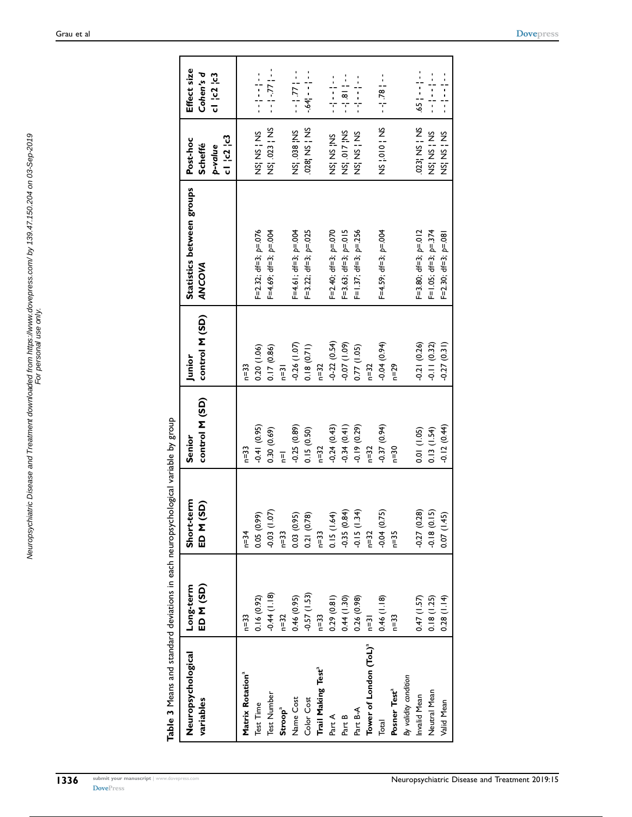<span id="page-7-0"></span>

| Table 3 Means and standard deviations in each neuropsychological variable by group |                        |                            |                          |                          |                                     |                                                    |                                                                               |
|------------------------------------------------------------------------------------|------------------------|----------------------------|--------------------------|--------------------------|-------------------------------------|----------------------------------------------------|-------------------------------------------------------------------------------|
| Neuropsychological<br>variables                                                    | ED M (SD)<br>Long-term | Short-term<br>(GD)<br>ED M | control M (SD)<br>Senior | control M (SD)<br>Junior | Statistics between groups<br>ANCOVA | $c1$ $ c2$ $ c3$<br>Post-hoc<br>Scheffé<br>p-value | Effect size<br>Cohen's d<br>$c1$ $ c2$ $ c3$                                  |
| Matrix Rotation <sup>a</sup>                                                       | $n = 33$               | $n=34$                     | $n = 33$                 | $n = 33$                 |                                     |                                                    |                                                                               |
| Test Time                                                                          | 0.16(0.92)             | 0.05(0.99)                 | $-0.41(0.95)$            | 0.20 (1.06)              | F=2.32; $df=3$ ; $p=0.076$          | NS' NS ! NS                                        | $\frac{1}{2}$ = $\frac{1}{2}$ = $\frac{1}{2}$ = $\frac{1}{2}$ = $\frac{1}{2}$ |
| Test Number                                                                        | $-0.44(1.18)$          | $-0.03$ $(1.07)$           | 0.30(0.69)               | 0.17(0.86)               | $F=4.69$ ; $df=3$ ; $p=.004$        | NS' 023   NS                                       | $-1.777$                                                                      |
| <b>Stroop</b> <sup>a</sup>                                                         | $n = 32$               | $n = 33$                   | $\frac{1}{2}$            | $n=31$                   |                                     |                                                    |                                                                               |
| Name Cost                                                                          | 0.46 (0.95)            | 0.03(0.95)                 | $-0.25(0.89)$            | $-0.26(1.07)$            | $F=4.61$ ; df=3; $p=004$            | NS' 038 INS                                        | $-1.771$                                                                      |
| Color Cost                                                                         | $-0.57(1.53)$          | 0.21(0.78)                 | 0.15(0.50)               | 0.18(0.71)               | F=3.22; $df=3$ ; $p=0.025$          | 028; NS ; NS                                       | $-64! - 1 -$                                                                  |
| Trail Making Test <sup>a</sup>                                                     | $n = 33$               | $n = 33$                   | $n = 32$                 | $n = 32$                 |                                     |                                                    |                                                                               |
| Part A                                                                             | 0.29(0.81)             | 0.15(1.64)                 | $-0.24(0.43)$            | $-0.22(0.54)$            | $F=2.40$ ; $df=3$ ; $p=.070$        | NS' NS INS                                         | 主义学                                                                           |
| Part B                                                                             | 0.44(1.30)             | $-0.35(0.84)$              | $-0.34(0.41)$            | $(60.1) 20.0$ -          | $F=3.63; df=3; p=.015$              | NS' 017 INS                                        |                                                                               |
| Part B-A                                                                           | 0.26(0.98)             | $-0.15(1.34)$              | $(62.0)$ 61.0-           | 0.77(1.05)               | F=1.37; $df=3$ ; $p=0.256$          | NS; NS ; NS                                        | 上下午                                                                           |
| Tower of London (ToL) <sup>ª</sup>                                                 | $n=31$                 | $n = 32$                   | $n = 32$                 | $n = 32$                 |                                     |                                                    |                                                                               |
| Total                                                                              | 0.46(1.18)             | $-0.04(0.75)$              | $-0.37(0.94)$            | $-0.04(0.94)$            | $F=4.59$ ; $df=3$ ; $p=004$         | NS 1010 1 NS                                       | $-1.78$                                                                       |
| Posner Test <sup>a</sup>                                                           | n=33                   | $n=35$                     | $n = 30$                 | $n = 29$                 |                                     |                                                    |                                                                               |
| By validity condition                                                              |                        |                            |                          |                          |                                     |                                                    |                                                                               |
| Invalid Mean                                                                       | 0.47(1.57)             | $-0.27(0.28)$              | 0.01(1.05)               | $-0.21(0.26)$            | F=3.80; $df=3$ ; $p=012$            | 023¦ NS   NS                                       | $- - 1 - 166$                                                                 |
| Neutral Mean                                                                       | 0.18(1.25)             | $-0.18(0.15)$              | 0.13(1.54)               | $-0.11(0.32)$            | $F=1.05$ ; df=3; $p=374$            | NS; NS; NS                                         | 主义主义                                                                          |
| Valid Mean                                                                         | 0.28(1.14)             | 0.07(1.45)                 | $-0.12(0.44)$            | $-0.27(0.31)$            | F=2.30; $df=3$ ; $p=08$             | NS; NS ; NS                                        | $\frac{1}{2}$                                                                 |
|                                                                                    |                        |                            |                          |                          |                                     |                                                    |                                                                               |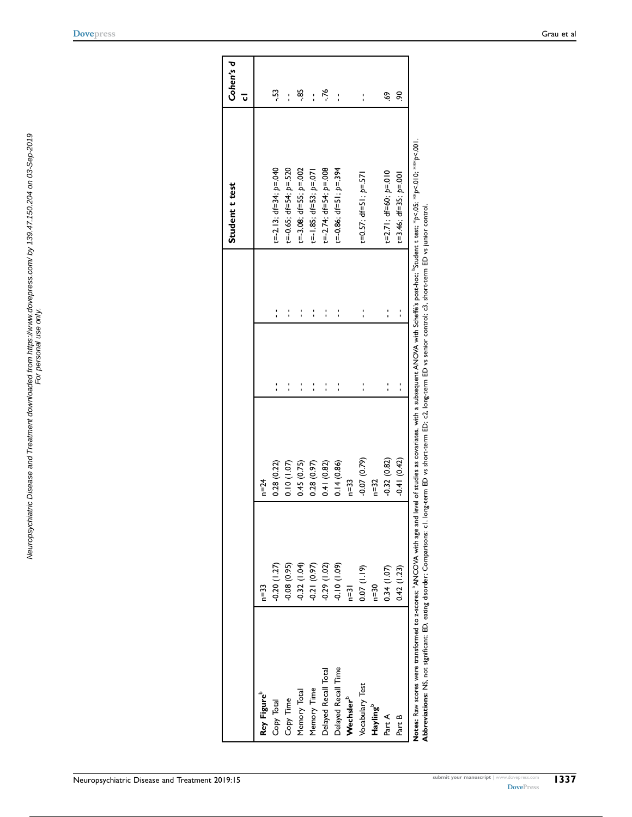|                                                                                                                                                                                             |                  |               |                                         | Student t test                       | Cohen's d<br><del>ن</del> |
|---------------------------------------------------------------------------------------------------------------------------------------------------------------------------------------------|------------------|---------------|-----------------------------------------|--------------------------------------|---------------------------|
| Rey Figure <sup>b</sup>                                                                                                                                                                     | $n = 33$         | $n = 24$      |                                         |                                      |                           |
| Copy Total                                                                                                                                                                                  | $-0.20$ $(1.27)$ | 0.28(0.22)    |                                         | $t = -2.13$ ; $df = 34$ ; $p = .040$ | က္ပ                       |
| Copy Time                                                                                                                                                                                   | 0.08(0.95)       | 0.10 (1.07)   | :                                       | $t=-0.65; df=54; p=.520$             | l                         |
| Memory Total                                                                                                                                                                                | 0.32(1.04)       | 0.45 (0.75)   |                                         | $t = -3.08$ ; $df = 55$ ; $p = .002$ | ဆို                       |
| Memory Time                                                                                                                                                                                 | 0.21 (0.97)      | 0.28(0.97)    |                                         | $t=-1.85$ ; $df=53$ ; $p=.071$       | l                         |
| Delayed Recall Total                                                                                                                                                                        | (1.02)           | 0.41 (0.82)   | ֧֪֛֪֚֚֚֚֚֚֚֚֚֚֚֚֚֚֚֚֚֚֚֚֚֚֚֚֚֚֬֡֡֡֡֡֡֡֝ | $t=-2.74$ ; $df=54$ ; $p=.008$       | -76                       |
| Delayed Recall Time                                                                                                                                                                         | $(60.1)$ 01.0-   | 0.14(0.86)    |                                         | $t = -0.86$ ; df=51; $p = 0.394$     | I                         |
| Wechsler <sup>b</sup>                                                                                                                                                                       | $n=31$           | $n=33$        |                                         |                                      |                           |
| Vocabulary Test                                                                                                                                                                             | (61.19)          | $-0.07(0.79)$ |                                         | $t=0.57; df=51; p=.571$              |                           |
| Hayling <sup>b</sup>                                                                                                                                                                        | $n = 30$         | $n = 32$      |                                         |                                      |                           |
| Part A                                                                                                                                                                                      | 0.34(1.07)       | $-0.32(0.82)$ | :                                       | $t=2.71$ ; $df=60$ ; $p=010$         | \$                        |
| Part B                                                                                                                                                                                      | 0.42(1.23)       | $-0.41(0.42)$ |                                         | $t=3.46$ ; $df=35$ ; $p=.001$        | ୡ                         |
| Notes: Raw scores were transformed to z-scores; "ANCOVA with age and level of studies as covariates, with a subsequent ANOVA with Scheffe's post-hoc; "Student t rest; *p-5.010; ***p-5.001 |                  |               |                                         |                                      |                           |

# Notes: Raw scores were transformed to z-scores; <sup>a</sup>ANCOVA with age and level of studies as covariates, with a subsequent ANOVA with Scheffé's post-hoc; <sup>b</sup>Student t test; \*p<05;<br>**Abbreviations**: NS, not significant; ED, ea Abbreviations: NS, not significant; ED, eating disorder; Comparisons: c1, long-term ED vs short-term ED; c2, long-term ED vs senior control; c3, short-term ED vs junior control.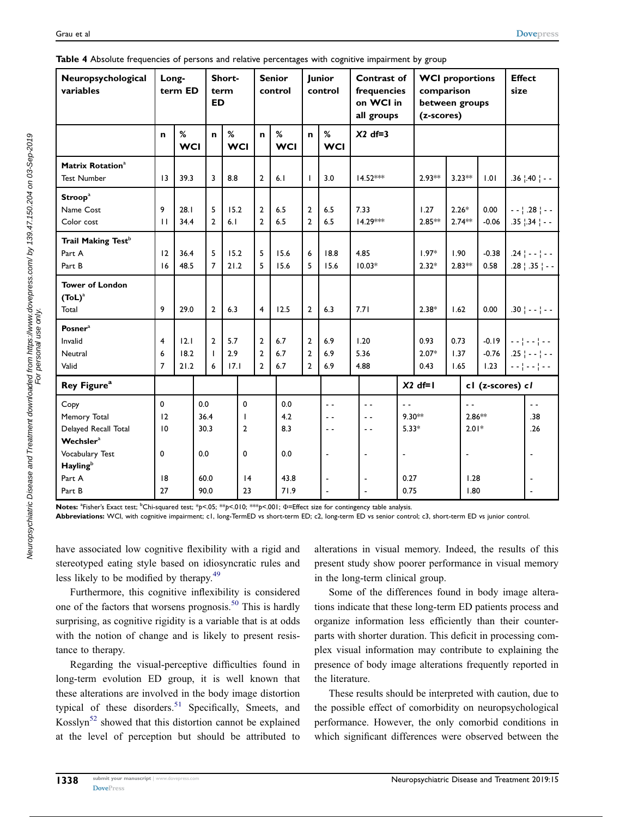| Neuropsychological<br>variables                                                                 | Long-                        | term ED              |                    | <b>ED</b>                 | Short-<br>term     |                             |                                                    | <b>Senior</b><br>control |                                                  | <b>Junior</b><br>control                                                    | Contrast of<br>frequencies<br>on WCI in<br>all groups |                                          | <b>WCI</b> proportions<br>comparison<br>between groups<br>(z-scores) |                      |                                                        |                            | <b>Effect</b><br>size |                                                                           |
|-------------------------------------------------------------------------------------------------|------------------------------|----------------------|--------------------|---------------------------|--------------------|-----------------------------|----------------------------------------------------|--------------------------|--------------------------------------------------|-----------------------------------------------------------------------------|-------------------------------------------------------|------------------------------------------|----------------------------------------------------------------------|----------------------|--------------------------------------------------------|----------------------------|-----------------------|---------------------------------------------------------------------------|
|                                                                                                 | $\mathbf n$                  | %<br><b>WCI</b>      |                    | n                         | %<br><b>WCI</b>    |                             | $\mathbf n$                                        | %<br><b>WCI</b>          | n.                                               | %<br><b>WCI</b>                                                             | $X2 df=3$                                             |                                          |                                                                      |                      |                                                        |                            |                       |                                                                           |
| Matrix Rotation <sup>a</sup><br><b>Test Number</b>                                              | 13                           | 39.3                 |                    | 3                         | 8.8                |                             | $\overline{2}$                                     | 6.1                      | T                                                | 3.0                                                                         | $14.52***$                                            |                                          | $2.93**$                                                             | $3.23**$             |                                                        | 1.01                       |                       | .36 $ .40 $ - -                                                           |
| Stroop <sup>a</sup><br>Name Cost<br>Color cost                                                  | 9<br>$\mathbf{H}$            | 28.1<br>34.4         |                    | 5<br>$\mathbf{2}$         | 15.2<br>6.1        |                             | $\mathbf{2}$<br>$\overline{2}$                     | 6.5<br>6.5               | $\overline{2}$<br>$\mathbf{2}$                   | 6.5<br>6.5                                                                  | 7.33<br>14.29***                                      |                                          | 1.27<br>$2.85**$                                                     | $2.26*$<br>$2.74**$  |                                                        | 0.00<br>$-0.06$            |                       | $- - 1.28$   $- -$<br>$.35$ $ .34$ $-$                                    |
| Trail Making Test <sup>b</sup><br>Part A<br>Part B                                              | 12<br>16                     | 36.4<br>48.5         |                    | 5<br>$\overline{7}$       | 15.2<br>21.2       |                             | 5<br>5                                             | 15.6<br>15.6             | 6<br>5                                           | 18.8<br>15.6                                                                | 4.85<br>$10.03*$                                      |                                          | $1.97*$<br>$2.32*$                                                   | 1.90<br>$2.83**$     |                                                        | $-0.38$<br>0.58            |                       | $.24$ $\left  - - \right $ - -<br>.28 $\frac{1}{2}$ .35 $\frac{1}{2}$ - - |
| <b>Tower of London</b><br>$(ToL)^a$<br>Total                                                    | 9                            | 29.0                 |                    | $\overline{2}$            | 6.3                |                             | $\overline{4}$                                     | 12.5                     | $\overline{2}$                                   | 6.3                                                                         | 7.71                                                  |                                          | $2.38*$                                                              | 1.62                 |                                                        | 0.00                       |                       | $.30$ } - - } - -                                                         |
| Posner <sup>a</sup><br>Invalid<br>Neutral<br>Valid                                              | 4<br>6<br>$\overline{7}$     | 12.1<br>18.2<br>21.2 |                    | $\overline{2}$<br>I.<br>6 | 5.7<br>2.9<br>17.1 |                             | $\overline{2}$<br>$\overline{2}$<br>$\overline{2}$ | 6.7<br>6.7<br>6.7        | $\mathbf{2}$<br>$\overline{2}$<br>$\overline{2}$ | 6.9<br>6.9<br>6.9                                                           | 1.20<br>5.36<br>4.88                                  |                                          | 0.93<br>$2.07*$<br>0.43                                              | 0.73<br>1.37<br>1.65 |                                                        | $-0.19$<br>$-0.76$<br>1.23 |                       | $-1 - 1 - 1 - 1$<br>$.25$   - -   - -<br>$-1 = \{ -1 \} - 1$              |
| Rey Figure <sup>a</sup>                                                                         |                              |                      |                    |                           |                    |                             |                                                    |                          |                                                  |                                                                             |                                                       |                                          | $X2 df=1$                                                            |                      |                                                        | cl (z-scores) cl           |                       |                                                                           |
| Copy<br>Memory Total<br>Delayed Recall Total<br><b>Wechsler</b> <sup>a</sup><br>Vocabulary Test | $\mathbf 0$<br>12<br>10<br>0 |                      | 0.0<br>30.3<br>0.0 | 36.4                      |                    | 0<br>T<br>$\mathbf{2}$<br>0 |                                                    | 0.0<br>4.2<br>8.3<br>0.0 |                                                  | $\sim$ $\sim$<br>$\sim$ $\sim$<br>$\sim$ $\sim$<br>$\overline{\phantom{a}}$ | $\sim$ $\sim$<br>$\sim$ $\sim$<br>$\sim$ $\sim$       | $\overline{\phantom{a}}$<br>$5.33*$      | $9.30**$                                                             |                      | $\sim$ $\sim$<br>$2.86**$<br>$2.01*$<br>$\blacksquare$ |                            |                       | $\sim$ $\sim$<br>.38<br>.26<br>$\overline{\phantom{a}}$                   |
| Hayling <sup>b</sup><br>Part A<br>Part B                                                        | 8<br>27                      |                      |                    | 60.0<br>90.0              |                    | 4<br>23                     |                                                    | 43.8<br>71.9             |                                                  | $\blacksquare$<br>$\blacksquare$                                            | $\blacksquare$<br>$\overline{\phantom{a}}$<br>÷,      | $\overline{\phantom{a}}$<br>0.27<br>0.75 |                                                                      |                      | 1.28<br>1.80                                           |                            |                       |                                                                           |

<span id="page-9-0"></span>

|  | Table 4 Absolute frequencies of persons and relative percentages with cognitive impairment by group |  |
|--|-----------------------------------------------------------------------------------------------------|--|
|  |                                                                                                     |  |

Notes: <sup>a</sup>Fisher's Exact test; <sup>b</sup>Chi-squared test; \*p<.05; \*\*p<.010; \*\*\*p<.001; Φ=Effect size for contingency table analysis.

Abbreviations: WCI, with cognitive impairment; c1, long-TermED vs short-term ED; c2, long-term ED vs senior control; c3, short-term ED vs junior control.

have associated low cognitive flexibility with a rigid and stereotyped eating style based on idiosyncratic rules and less likely to be modified by therapy[.49](#page-12-9)

<span id="page-9-2"></span><span id="page-9-1"></span>Furthermore, this cognitive inflexibility is considered one of the factors that worsens prognosis.<sup>[50](#page-12-10)</sup> This is hardly surprising, as cognitive rigidity is a variable that is at odds with the notion of change and is likely to present resistance to therapy.

<span id="page-9-4"></span><span id="page-9-3"></span>Regarding the visual-perceptive difficulties found in long-term evolution ED group, it is well known that these alterations are involved in the body image distortion typical of these disorders.<sup>[51](#page-12-11)</sup> Specifically, Smeets, and Kosslyn<sup>[52](#page-12-12)</sup> showed that this distortion cannot be explained at the level of perception but should be attributed to alterations in visual memory. Indeed, the results of this present study show poorer performance in visual memory in the long-term clinical group.

Some of the differences found in body image alterations indicate that these long-term ED patients process and organize information less efficiently than their counterparts with shorter duration. This deficit in processing complex visual information may contribute to explaining the presence of body image alterations frequently reported in the literature.

These results should be interpreted with caution, due to the possible effect of comorbidity on neuropsychological performance. However, the only comorbid conditions in which significant differences were observed between the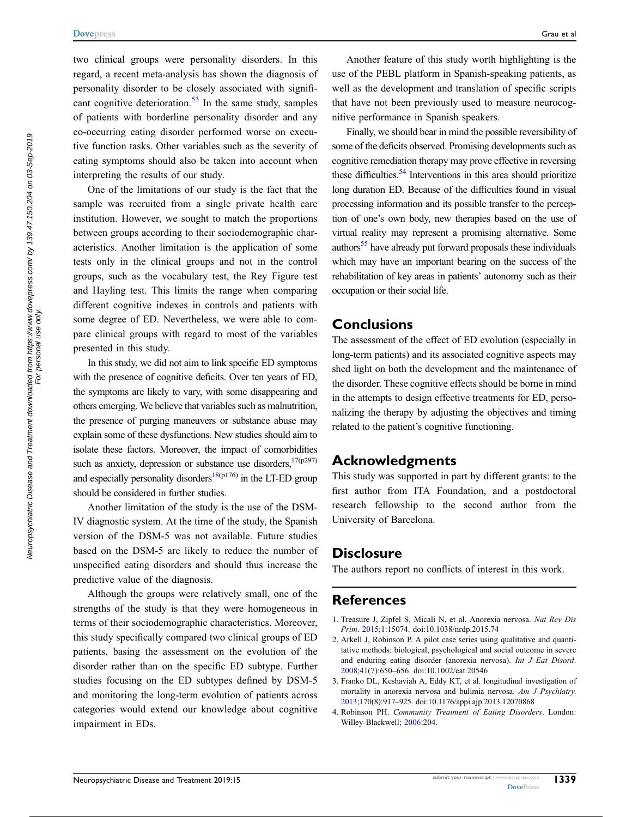<span id="page-10-4"></span>two clinical groups were personality disorders. In this regard, a recent meta-analysis has shown the diagnosis of personality disorder to be closely associated with signifi-cant cognitive deterioration.<sup>[53](#page-12-13)</sup> In the same study, samples of patients with borderline personality disorder and any co-occurring eating disorder performed worse on executive function tasks. Other variables such as the severity of eating symptoms should also be taken into account when interpreting the results of our study.

One of the limitations of our study is the fact that the sample was recruited from a single private health care institution. However, we sought to match the proportions between groups according to their sociodemographic characteristics. Another limitation is the application of some tests only in the clinical groups and not in the control groups, such as the vocabulary test, the Rey Figure test and Hayling test. This limits the range when comparing different cognitive indexes in controls and patients with some degree of ED. Nevertheless, we were able to compare clinical groups with regard to most of the variables presented in this study.

In this study, we did not aim to link specific ED symptoms with the presence of cognitive deficits. Over ten years of ED, the symptoms are likely to vary, with some disappearing and others emerging. We believe that variables such as malnutrition, the presence of purging maneuvers or substance abuse may explain some of these dysfunctions. New studies should aim to isolate these factors. Moreover, the impact of comorbidities such as anxiety, depression or substance use disorders,  $17(p297)$ and especially personality disorders<sup>18(p176)</sup> in the LT-ED group should be considered in further studies.

Another limitation of the study is the use of the DSM-IV diagnostic system. At the time of the study, the Spanish version of the DSM-5 was not available. Future studies based on the DSM-5 are likely to reduce the number of unspecified eating disorders and should thus increase the predictive value of the diagnosis.

Although the groups were relatively small, one of the strengths of the study is that they were homogeneous in terms of their sociodemographic characteristics. Moreover, this study specifically compared two clinical groups of ED patients, basing the assessment on the evolution of the disorder rather than on the specific ED subtype. Further studies focusing on the ED subtypes defined by DSM-5 and monitoring the long-term evolution of patients across categories would extend our knowledge about cognitive impairment in EDs.

Another feature of this study worth highlighting is the use of the PEBL platform in Spanish-speaking patients, as well as the development and translation of specific scripts that have not been previously used to measure neurocognitive performance in Spanish speakers.

<span id="page-10-5"></span>Finally, we should bear in mind the possible reversibility of some of the deficits observed. Promising developments such as cognitive remediation therapy may prove effective in reversing these difficulties.<sup>[54](#page-12-14)</sup> Interventions in this area should prioritize long duration ED. Because of the difficulties found in visual processing information and its possible transfer to the perception of one's own body, new therapies based on the use of virtual reality may represent a promising alternative. Some authors<sup>55</sup> have already put forward proposals these individuals which may have an important bearing on the success of the rehabilitation of key areas in patients' autonomy such as their occupation or their social life.

### <span id="page-10-6"></span>**Conclusions**

The assessment of the effect of ED evolution (especially in long-term patients) and its associated cognitive aspects may shed light on both the development and the maintenance of the disorder. These cognitive effects should be borne in mind in the attempts to design effective treatments for ED, personalizing the therapy by adjusting the objectives and timing related to the patient's cognitive functioning.

### Acknowledgments

This study was supported in part by different grants: to the first author from ITA Foundation, and a postdoctoral research fellowship to the second author from the University of Barcelona.

### **Disclosure**

The authors report no conflicts of interest in this work.

### **References**

- <span id="page-10-0"></span>1. Treasure J, Zipfel S, Micali N, et al. Anorexia nervosa. Nat Rev Dis Prim. [2015](#page-0-4);1:15074. doi:[10.1038/nrdp.2015.74](https://doi.org/10.1038/nrdp.2015.74)
- <span id="page-10-1"></span>2. Arkell J, Robinson P. A pilot case series using qualitative and quantitative methods: biological, psychological and social outcome in severe and enduring eating disorder (anorexia nervosa). Int J Eat Disord. [2008](#page-0-5);41(7):650–656. doi:[10.1002/eat.20546](https://doi.org/10.1002/eat.20546)
- <span id="page-10-2"></span>3. Franko DL, Keshaviah A, Eddy KT, et al. longitudinal investigation of mortality in anorexia nervosa and bulimia nervosa. Am J Psychiatry. [2013](#page-0-5);170(8):917–925. doi:[10.1176/appi.ajp.2013.12070868](https://doi.org/10.1176/appi.ajp.2013.12070868)
- <span id="page-10-3"></span>4. Robinson PH. Community Treatment of Eating Disorders. London: Willey-Blackwell; [2006:](#page-0-6)204.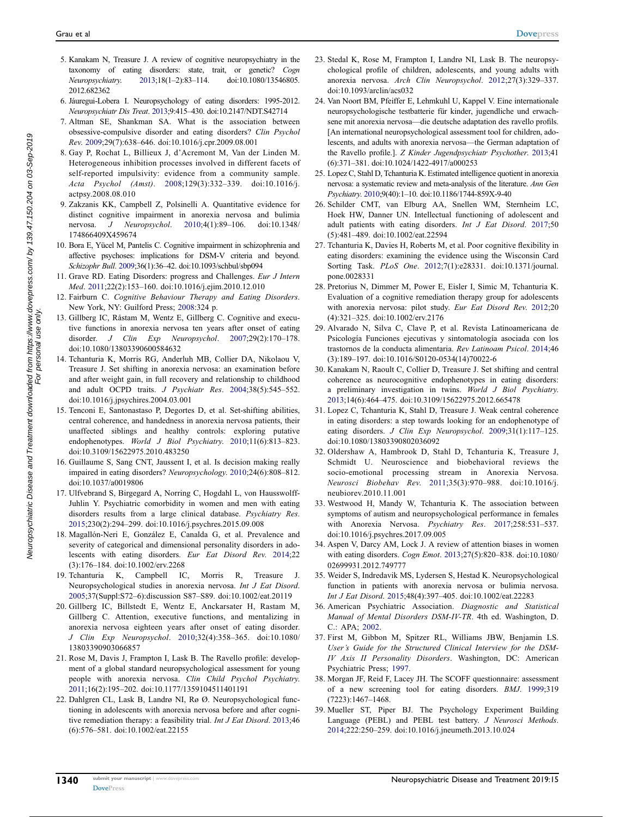- <span id="page-11-0"></span>5. Kanakam N, Treasure J. A review of cognitive neuropsychiatry in the taxonomy of eating disorders: state, trait, or genetic? Cogn Neuropsychiatry. [2013;](#page-0-7)18(1–2):83–114. doi:[10.1080/13546805.](https://doi.org/10.1080/13546805.2012.682362) [2012.682362](https://doi.org/10.1080/13546805.2012.682362)
- <span id="page-11-1"></span>6. Jáuregui-Lobera I. Neuropsychology of eating disorders: 1995-2012. Neuropsychiatr Dis Treat. [2013](#page-0-7);9:415–430. doi:[10.2147/NDT.S42714](https://doi.org/10.2147/NDT.S42714)
- <span id="page-11-2"></span>7. Altman SE, Shankman SA. What is the association between obsessive-compulsive disorder and eating disorders? Clin Psychol Rev. [2009;](#page-0-8)29(7):638–646. doi:[10.1016/j.cpr.2009.08.001](https://doi.org/10.1016/j.cpr.2009.08.001)
- <span id="page-11-3"></span>8. Gay P, Rochat L, Billieux J, d'Acremont M, Van der Linden M. Heterogeneous inhibition processes involved in different facets of self-reported impulsivity: evidence from a community sample. Acta Psychol (Amst). [2008](#page-1-0);129(3):332–339. doi:[10.1016/j.](https://doi.org/10.1016/j.actpsy.2008.08.010) [actpsy.2008.08.010](https://doi.org/10.1016/j.actpsy.2008.08.010)
- <span id="page-11-4"></span>9. Zakzanis KK, Campbell Z, Polsinelli A. Quantitative evidence for distinct cognitive impairment in anorexia nervosa and bulimia nervosa. J Neuropsychol. [2010;](#page-1-1)4(1):89–106. doi:[10.1348/](https://doi.org/10.1348/174866409X459674) [174866409X459674](https://doi.org/10.1348/174866409X459674)
- <span id="page-11-5"></span>10. Bora E, Yücel M, Pantelis C. Cognitive impairment in schizophrenia and affective psychoses: implications for DSM-V criteria and beyond. Schizophr Bull. [2009](#page-1-2);36(1):36–42. doi:[10.1093/schbul/sbp094](https://doi.org/10.1093/schbul/sbp094)
- <span id="page-11-6"></span>11. Grave RD. Eating Disorders: progress and Challenges. Eur J Intern Med. [2011](#page-1-3);22(2):153–160. doi:[10.1016/j.ejim.2010.12.010](https://doi.org/10.1016/j.ejim.2010.12.010)
- <span id="page-11-7"></span>12. Fairburn C. Cognitive Behaviour Therapy and Eating Disorders. New York, NY: Guilford Press; [2008](#page-1-4):324 p.
- <span id="page-11-8"></span>13. Gillberg IC, Råstam M, Wentz E, Gillberg C. Cognitive and executive functions in anorexia nervosa ten years after onset of eating disorder. J Clin Exp Neuropsychol. [2007;](#page-1-5)29(2):170-178. doi:[10.1080/13803390600584632](https://doi.org/10.1080/13803390600584632)
- <span id="page-11-22"></span>14. Tchanturia K, Morris RG, Anderluh MB, Collier DA, Nikolaou V, Treasure J. Set shifting in anorexia nervosa: an examination before and after weight gain, in full recovery and relationship to childhood and adult OCPD traits. J Psychiatr Res. [2004;](#page-1-6)38(5):545–552. doi:[10.1016/j.jpsychires.2004.03.001](https://doi.org/10.1016/j.jpsychires.2004.03.001)
- <span id="page-11-9"></span>15. Tenconi E, Santonastaso P, Degortes D, et al. Set-shifting abilities, central coherence, and handedness in anorexia nervosa patients, their unaffected siblings and healthy controls: exploring putative endophenotypes. World J Biol Psychiatry. [2010](#page-1-5);11(6):813-823. doi:[10.3109/15622975.2010.483250](https://doi.org/10.3109/15622975.2010.483250)
- <span id="page-11-10"></span>16. Guillaume S, Sang CNT, Jaussent I, et al. Is decision making really impaired in eating disorders? Neuropsychology. [2010;](#page-1-7)24(6):808–812. doi:[10.1037/a0019806](https://doi.org/10.1037/a0019806)
- <span id="page-11-11"></span>17. Ulfvebrand S, Birgegard A, Norring C, Hogdahl L, von Hausswolff-Juhlin Y. Psychiatric comorbidity in women and men with eating disorders results from a large clinical database. Psychiatry Res. [2015;](#page-1-8)230(2):294–299. doi:[10.1016/j.psychres.2015.09.008](https://doi.org/10.1016/j.psychres.2015.09.008)
- <span id="page-11-12"></span>18. Magallón-Neri E, González E, Canalda G, et al. Prevalence and severity of categorical and dimensional personality disorders in adolescents with eating disorders. Eur Eat Disord Rev. [2014](#page-1-8);22 (3):176–184. doi:[10.1002/erv.2268](https://doi.org/10.1002/erv.2268)
- <span id="page-11-13"></span>19. Tchanturia K, Campbell IC, Morris R, Treasure J. Neuropsychological studies in anorexia nervosa. Int J Eat Disord. [2005;](#page-1-9)37(Suppl:S72–6):discussion S87–S89. doi:[10.1002/eat.20119](https://doi.org/10.1002/eat.20119)
- <span id="page-11-14"></span>20. Gillberg IC, Billstedt E, Wentz E, Anckarsater H, Rastam M, Gillberg C. Attention, executive functions, and mentalizing in anorexia nervosa eighteen years after onset of eating disorder. J Clin Exp Neuropsychol. [2010](#page-1-10);32(4):358–365. doi:[10.1080/](https://doi.org/10.1080/13803390903066857) [13803390903066857](https://doi.org/10.1080/13803390903066857)
- <span id="page-11-15"></span>21. Rose M, Davis J, Frampton I, Lask B. The Ravello profile: development of a global standard neuropsychological assessment for young people with anorexia nervosa. Clin Child Psychol Psychiatry. [2011](#page-1-11);16(2):195–202. doi:[10.1177/1359104511401191](https://doi.org/10.1177/1359104511401191)
- <span id="page-11-16"></span>22. Dahlgren CL, Lask B, Landrø NI, Rø Ø. Neuropsychological functioning in adolescents with anorexia nervosa before and after cogni-tive remediation therapy: a feasibility trial. Int J Eat Disord. [2013](#page-1-12);46 (6):576–581. doi:[10.1002/eat.22155](https://doi.org/10.1002/eat.22155)
- 23. Stedal K, Rose M, Frampton I, Landrø NI, Lask B. The neuropsychological profile of children, adolescents, and young adults with anorexia nervosa. Arch Clin Neuropsychol. 2012;27(3):329–337. doi:[10.1093/arclin/acs032](https://doi.org/10.1093/arclin/acs032)
- <span id="page-11-17"></span>24. Van Noort BM, Pfeiffer E, Lehmkuhl U, Kappel V. Eine internationale neuropsychologische testbatterie für kinder, jugendliche und erwachsene mit anorexia nervosa—die deutsche adaptation des ravello profils. [An international neuropsychological assessment tool for children, adolescents, and adults with anorexia nervosa—the German adaptation of the Ravello profile.]. Z Kinder Jugendpsychiatr Psychother. [2013](#page-1-12);41 (6):371–381. doi:[10.1024/1422-4917/a000253](https://doi.org/10.1024/1422-4917/a000253)
- <span id="page-11-18"></span>25. Lopez C, Stahl D, Tchanturia K. Estimated intelligence quotient in anorexia nervosa: a systematic review and meta-analysis of the literature. Ann Gen Psychiatry. [2010;](#page-1-13)9(40):1–10. doi:[10.1186/1744-859X-9-40](https://doi.org/10.1186/1744-859X-9-40)
- <span id="page-11-19"></span>26. Schilder CMT, van Elburg AA, Snellen WM, Sternheim LC, Hoek HW, Danner UN. Intellectual functioning of adolescent and adult patients with eating disorders. Int J Eat Disord. [2017](#page-1-14);50 (5):481–489. doi:[10.1002/eat.22594](https://doi.org/10.1002/eat.22594)
- <span id="page-11-20"></span>27. Tchanturia K, Davies H, Roberts M, et al. Poor cognitive flexibility in eating disorders: examining the evidence using the Wisconsin Card Sorting Task. PLoS One. [2012;](#page-1-15)7(1):e28331. doi:[10.1371/journal.](https://doi.org/10.1371/journal.pone.0028331) [pone.0028331](https://doi.org/10.1371/journal.pone.0028331)
- 28. Pretorius N, Dimmer M, Power E, Eisler I, Simic M, Tchanturia K. Evaluation of a cognitive remediation therapy group for adolescents with anorexia nervosa: pilot study. Eur Eat Disord Rev. 2012;20 (4):321–325. doi:[10.1002/erv.2176](https://doi.org/10.1002/erv.2176)
- <span id="page-11-21"></span>29. Alvarado N, Silva C, Clave P, et al. Revista Latinoamericana de Psicología Funciones ejecutivas y sintomatología asociada con los trastornos de la conducta alimentaria. Rev Latinoam Psicol. [2014](#page-1-15);46 (3):189–197. doi:[10.1016/S0120-0534\(14\)70022-6](https://doi.org/10.1016/S0120-0534(14)70022-6)
- <span id="page-11-23"></span>30. Kanakam N, Raoult C, Collier D, Treasure J. Set shifting and central coherence as neurocognitive endophenotypes in eating disorders: a preliminary investigation in twins. World J Biol Psychiatry. [2013](#page-1-16);14(6):464–475. doi:[10.3109/15622975.2012.665478](https://doi.org/10.3109/15622975.2012.665478)
- <span id="page-11-24"></span>31. Lopez C, Tchanturia K, Stahl D, Treasure J. Weak central coherence in eating disorders: a step towards looking for an endophenotype of eating disorders. J Clin Exp Neuropsychol. [2009;](#page-1-17)31(1):117-125. doi:[10.1080/13803390802036092](https://doi.org/10.1080/13803390802036092)
- <span id="page-11-25"></span>32. Oldershaw A, Hambrook D, Stahl D, Tchanturia K, Treasure J, Schmidt U. Neuroscience and biobehavioral reviews the socio-emotional processing stream in Anorexia Nervosa. Neurosci Biobehav Rev. [2011;](#page-2-0)35(3):970–988. doi:[10.1016/j.](https://doi.org/10.1016/j.neubiorev.2010.11.001) [neubiorev.2010.11.001](https://doi.org/10.1016/j.neubiorev.2010.11.001)
- <span id="page-11-26"></span>33. Westwood H, Mandy W, Tchanturia K. The association between symptoms of autism and neuropsychological performance in females with Anorexia Nervosa. Psychiatry Res. [2017;](#page-2-0)258:531–537. doi:[10.1016/j.psychres.2017.09.005](https://doi.org/10.1016/j.psychres.2017.09.005)
- <span id="page-11-27"></span>34. Aspen V, Darcy AM, Lock J. A review of attention biases in women with eating disorders. Cogn Emot. [2013;](#page-2-1)27(5):820–838. doi:[10.1080/](https://doi.org/10.1080/02699931.2012.749777) [02699931.2012.749777](https://doi.org/10.1080/02699931.2012.749777)
- <span id="page-11-28"></span>35. Weider S, Indredavik MS, Lydersen S, Hestad K. Neuropsychological function in patients with anorexia nervosa or bulimia nervosa. Int J Eat Disord. [2015](#page-2-2);48(4):397–405. doi:[10.1002/eat.22283](https://doi.org/10.1002/eat.22283)
- <span id="page-11-29"></span>36. American Psychiatric Association. Diagnostic and Statistical Manual of Mental Disorders DSM-IV-TR. 4th ed. Washington, D. C.: APA; [2002.](#page-2-3)
- <span id="page-11-30"></span>37. First M, Gibbon M, Spitzer RL, Williams JBW, Benjamin LS. User's Guide for the Structured Clinical Interview for the DSM-IV Axis II Personality Disorders. Washington, DC: American Psychiatric Press; [1997](#page-2-4).
- <span id="page-11-31"></span>38. Morgan JF, Reid F, Lacey JH. The SCOFF questionnaire: assessment of a new screening tool for eating disorders. BMJ. [1999](#page-2-5);319 (7223):1467–1468.
- <span id="page-11-32"></span>39. Mueller ST, Piper BJ. The Psychology Experiment Building Language (PEBL) and PEBL test battery. J Neurosci Methods. [2014](#page-2-6);222:250–259. doi:[10.1016/j.jneumeth.2013.10.024](https://doi.org/10.1016/j.jneumeth.2013.10.024)